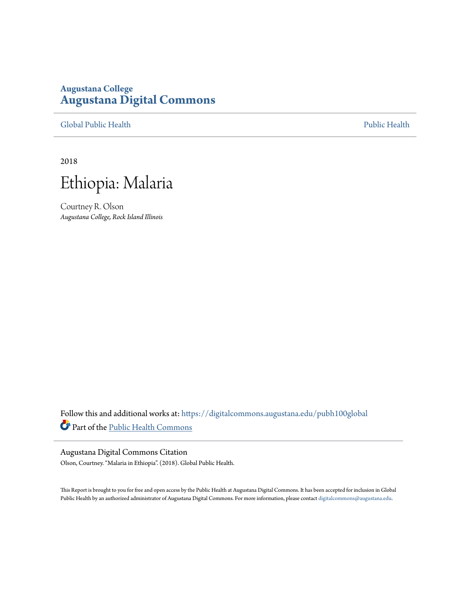# **Augustana College [Augustana Digital Commons](https://digitalcommons.augustana.edu?utm_source=digitalcommons.augustana.edu%2Fpubh100global%2F65&utm_medium=PDF&utm_campaign=PDFCoverPages)**

[Global Public Health](https://digitalcommons.augustana.edu/pubh100global?utm_source=digitalcommons.augustana.edu%2Fpubh100global%2F65&utm_medium=PDF&utm_campaign=PDFCoverPages) **[Public Health](https://digitalcommons.augustana.edu/publichealth?utm_source=digitalcommons.augustana.edu%2Fpubh100global%2F65&utm_medium=PDF&utm_campaign=PDFCoverPages)** Public Health Public Health Public Health Public Health

2018



Courtney R. Olson *Augustana College, Rock Island Illinois*

Follow this and additional works at: [https://digitalcommons.augustana.edu/pubh100global](https://digitalcommons.augustana.edu/pubh100global?utm_source=digitalcommons.augustana.edu%2Fpubh100global%2F65&utm_medium=PDF&utm_campaign=PDFCoverPages) Part of the [Public Health Commons](http://network.bepress.com/hgg/discipline/738?utm_source=digitalcommons.augustana.edu%2Fpubh100global%2F65&utm_medium=PDF&utm_campaign=PDFCoverPages)

#### Augustana Digital Commons Citation

Olson, Courtney. "Malaria in Ethiopia". (2018). Global Public Health.

This Report is brought to you for free and open access by the Public Health at Augustana Digital Commons. It has been accepted for inclusion in Global Public Health by an authorized administrator of Augustana Digital Commons. For more information, please contact [digitalcommons@augustana.edu.](mailto:digitalcommons@augustana.edu)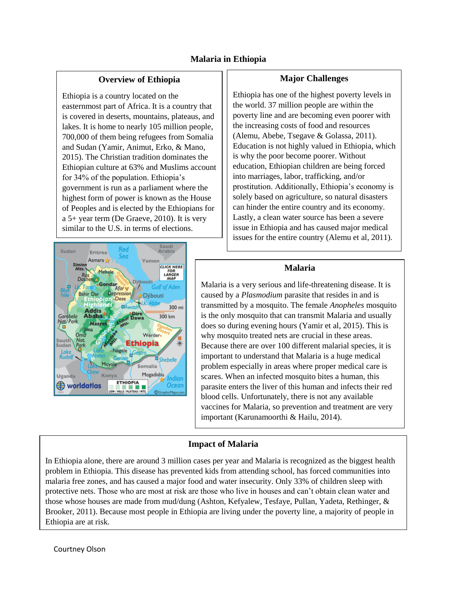## **Malaria in Ethiopia**

### **Overview of Ethiopia**

Ethiopia is a country located on the easternmost part of Africa. It is a country that is covered in deserts, mountains, plateaus, and lakes. It is home to nearly 105 million people, 700,000 of them being refugees from Somalia and Sudan (Yamir, Animut, Erko, & Mano, 2015). The Christian tradition dominates the Ethiopian culture at 63% and Muslims account for 34% of the population. Ethiopia's government is run as a parliament where the highest form of power is known as the House of Peoples and is elected by the Ethiopians for a 5+ year term (De Graeve, 2010). It is very similar to the U.S. in terms of elections.



#### **Major Challenges**

Ethiopia has one of the highest poverty levels in the world. 37 million people are within the poverty line and are becoming even poorer with the increasing costs of food and resources (Alemu, Abebe, Tsegave & Golassa, 2011). Education is not highly valued in Ethiopia, which is why the poor become poorer. Without education, Ethiopian children are being forced into marriages, labor, trafficking, and/or prostitution. Additionally, Ethiopia's economy is solely based on agriculture, so natural disasters can hinder the entire country and its economy. Lastly, a clean water source has been a severe issue in Ethiopia and has caused major medical issues for the entire country (Alemu et al, 2011).

#### **Malaria**

Malaria is a very serious and life-threatening disease. It is caused by a *Plasmodium* parasite that resides in and is transmitted by a mosquito. The female *Anopheles* mosquito is the only mosquito that can transmit Malaria and usually does so during evening hours (Yamir et al, 2015). This is why mosquito treated nets are crucial in these areas. Because there are over 100 different malarial species, it is important to understand that Malaria is a huge medical problem especially in areas where proper medical care is scares. When an infected mosquito bites a human, this parasite enters the liver of this human and infects their red blood cells. Unfortunately, there is not any available vaccines for Malaria, so prevention and treatment are very important (Karunamoorthi & Hailu, 2014).

## **Impact of Malaria**

In Ethiopia alone, there are around 3 million cases per year and Malaria is recognized as the biggest health problem in Ethiopia. This disease has prevented kids from attending school, has forced communities into malaria free zones, and has caused a major food and water insecurity. Only 33% of children sleep with protective nets. Those who are most at risk are those who live in houses and can't obtain clean water and those whose houses are made from mud/dung (Ashton, Kefyalew, Tesfaye, Pullan, Yadeta, Rethinger, & Brooker, 2011). Because most people in Ethiopia are living under the poverty line, a majority of people in Ethiopia are at risk.